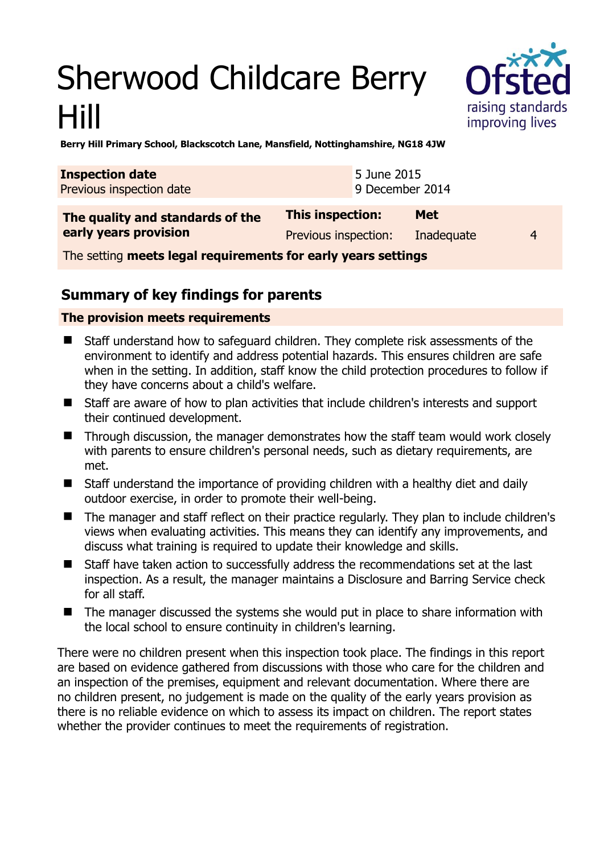# Sherwood Childcare Berry Hill



**Berry Hill Primary School, Blackscotch Lane, Mansfield, Nottinghamshire, NG18 4JW** 

| <b>Inspection date</b><br>Previous inspection date            |                         | 5 June 2015<br>9 December 2014 |                        |
|---------------------------------------------------------------|-------------------------|--------------------------------|------------------------|
| The quality and standards of the<br>early years provision     | <b>This inspection:</b> | <b>Met</b>                     |                        |
|                                                               | Previous inspection:    | Inadequate                     | $\boldsymbol{\Lambda}$ |
| The cetting moote logal requirements for early vears settings |                         |                                |                        |

The setting **meets legal requirements for early years settings**

## **Summary of key findings for parents**

### **The provision meets requirements**

- Staff understand how to safeguard children. They complete risk assessments of the environment to identify and address potential hazards. This ensures children are safe when in the setting. In addition, staff know the child protection procedures to follow if they have concerns about a child's welfare.
- Staff are aware of how to plan activities that include children's interests and support their continued development.
- Through discussion, the manager demonstrates how the staff team would work closely with parents to ensure children's personal needs, such as dietary requirements, are met.
- Staff understand the importance of providing children with a healthy diet and daily outdoor exercise, in order to promote their well-being.
- The manager and staff reflect on their practice regularly. They plan to include children's views when evaluating activities. This means they can identify any improvements, and discuss what training is required to update their knowledge and skills.
- Staff have taken action to successfully address the recommendations set at the last inspection. As a result, the manager maintains a Disclosure and Barring Service check for all staff.
- The manager discussed the systems she would put in place to share information with the local school to ensure continuity in children's learning.

There were no children present when this inspection took place. The findings in this report are based on evidence gathered from discussions with those who care for the children and an inspection of the premises, equipment and relevant documentation. Where there are no children present, no judgement is made on the quality of the early years provision as there is no reliable evidence on which to assess its impact on children. The report states whether the provider continues to meet the requirements of registration.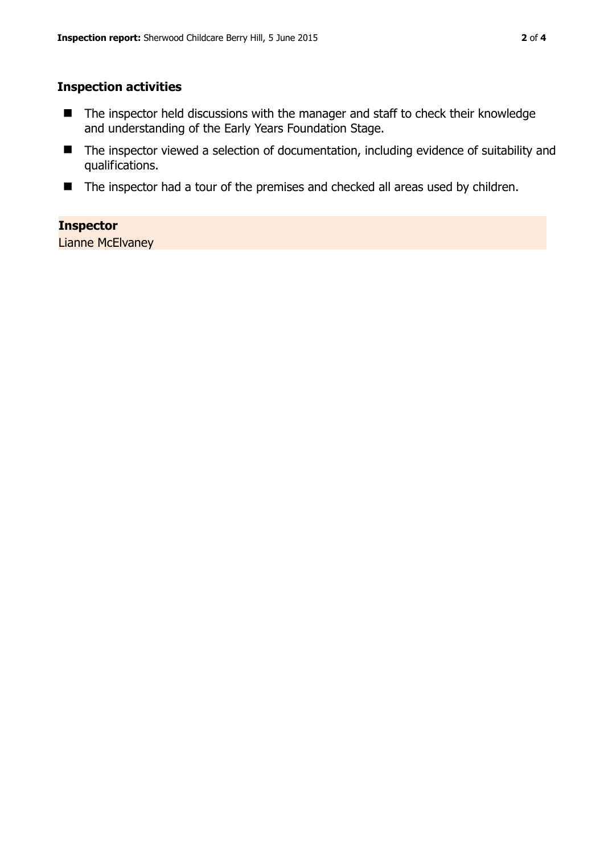### **Inspection activities**

- The inspector held discussions with the manager and staff to check their knowledge and understanding of the Early Years Foundation Stage.
- The inspector viewed a selection of documentation, including evidence of suitability and qualifications.
- The inspector had a tour of the premises and checked all areas used by children.

#### **Inspector**

Lianne McElvaney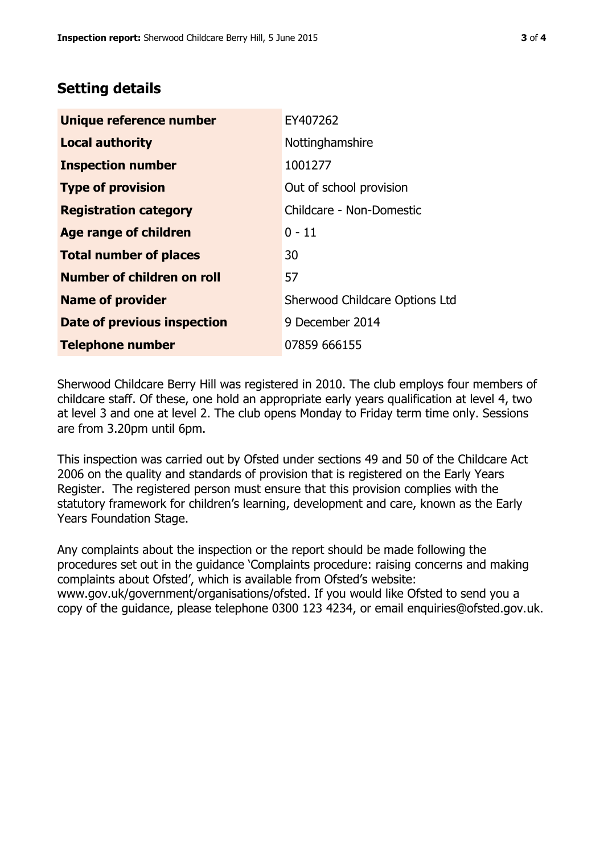## **Setting details**

| Unique reference number       | EY407262                       |  |
|-------------------------------|--------------------------------|--|
| <b>Local authority</b>        | Nottinghamshire                |  |
| <b>Inspection number</b>      | 1001277                        |  |
| <b>Type of provision</b>      | Out of school provision        |  |
| <b>Registration category</b>  | Childcare - Non-Domestic       |  |
| Age range of children         | $0 - 11$                       |  |
| <b>Total number of places</b> | 30                             |  |
| Number of children on roll    | 57                             |  |
| <b>Name of provider</b>       | Sherwood Childcare Options Ltd |  |
| Date of previous inspection   | 9 December 2014                |  |
| <b>Telephone number</b>       | 07859 666155                   |  |

Sherwood Childcare Berry Hill was registered in 2010. The club employs four members of childcare staff. Of these, one hold an appropriate early years qualification at level 4, two at level 3 and one at level 2. The club opens Monday to Friday term time only. Sessions are from 3.20pm until 6pm.

This inspection was carried out by Ofsted under sections 49 and 50 of the Childcare Act 2006 on the quality and standards of provision that is registered on the Early Years Register. The registered person must ensure that this provision complies with the statutory framework for children's learning, development and care, known as the Early Years Foundation Stage.

Any complaints about the inspection or the report should be made following the procedures set out in the guidance 'Complaints procedure: raising concerns and making complaints about Ofsted', which is available from Ofsted's website: www.gov.uk/government/organisations/ofsted. If you would like Ofsted to send you a copy of the guidance, please telephone 0300 123 4234, or email enquiries@ofsted.gov.uk.